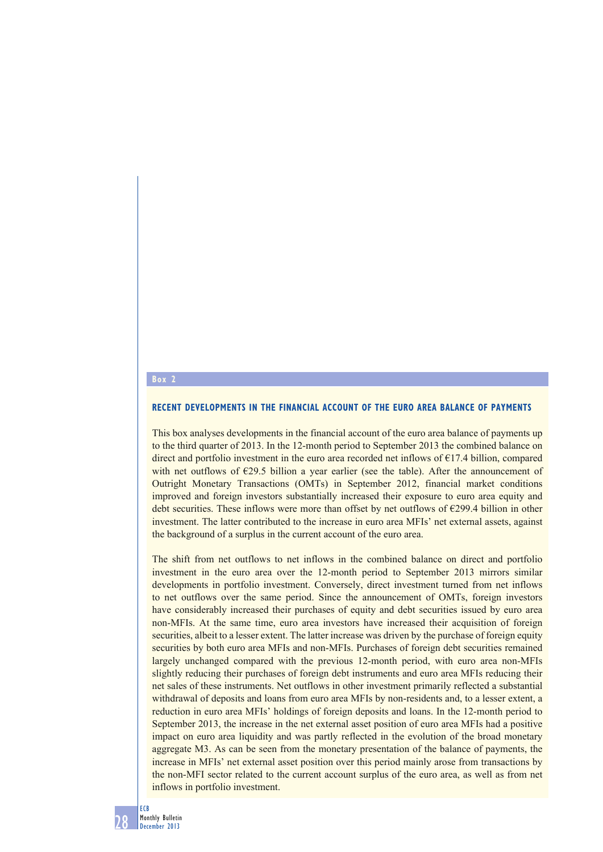## **Box 2**

## **RECENT DEVELOPMENTS IN THE FINANCIAL ACCOUNT OF THE EURO AREA BALANCE OF PAYMENTS**

This box analyses developments in the financial account of the euro area balance of payments up to the third quarter of 2013. In the 12-month period to September 2013 the combined balance on direct and portfolio investment in the euro area recorded net inflows of €17.4 billion, compared with net outflows of  $E29.5$  billion a year earlier (see the table). After the announcement of Outright Monetary Transactions (OMTs) in September 2012, financial market conditions improved and foreign investors substantially increased their exposure to euro area equity and debt securities. These inflows were more than offset by net outflows of €299.4 billion in other investment. The latter contributed to the increase in euro area MFIs' net external assets, against the background of a surplus in the current account of the euro area.

The shift from net outflows to net inflows in the combined balance on direct and portfolio investment in the euro area over the 12-month period to September 2013 mirrors similar developments in portfolio investment. Conversely, direct investment turned from net inflows to net outflows over the same period. Since the announcement of OMTs, foreign investors have considerably increased their purchases of equity and debt securities issued by euro area non-MFIs. At the same time, euro area investors have increased their acquisition of foreign securities, albeit to a lesser extent. The latter increase was driven by the purchase of foreign equity securities by both euro area MFIs and non-MFIs. Purchases of foreign debt securities remained largely unchanged compared with the previous 12-month period, with euro area non-MFIs slightly reducing their purchases of foreign debt instruments and euro area MFIs reducing their net sales of these instruments. Net outflows in other investment primarily reflected a substantial withdrawal of deposits and loans from euro area MFIs by non-residents and, to a lesser extent, a reduction in euro area MFIs' holdings of foreign deposits and loans. In the 12-month period to September 2013, the increase in the net external asset position of euro area MFIs had a positive impact on euro area liquidity and was partly reflected in the evolution of the broad monetary aggregate M3. As can be seen from the monetary presentation of the balance of payments, the increase in MFIs' net external asset position over this period mainly arose from transactions by the non-MFI sector related to the current account surplus of the euro area, as well as from net inflows in portfolio investment.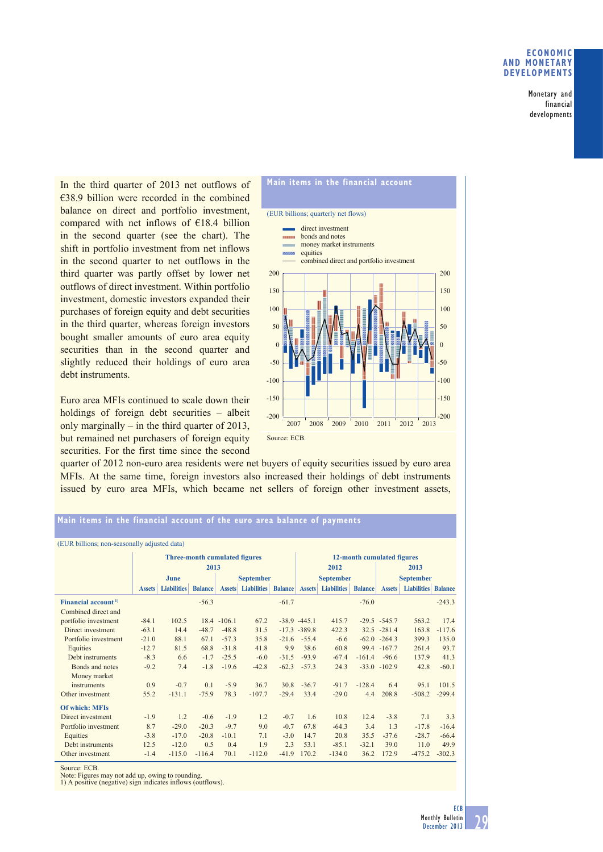## **ECONOMIC AND MONETARY DEVELOPMENTS**

Monetary and financial developments

In the third quarter of 2013 net outflows of €38.9 billion were recorded in the combined balance on direct and portfolio investment, compared with net inflows of €18.4 billion in the second quarter (see the chart). The shift in portfolio investment from net inflows in the second quarter to net outflows in the third quarter was partly offset by lower net outflows of direct investment. Within portfolio investment, domestic investors expanded their purchases of foreign equity and debt securities in the third quarter, whereas foreign investors bought smaller amounts of euro area equity securities than in the second quarter and slightly reduced their holdings of euro area debt instruments.

Euro area MFIs continued to scale down their holdings of foreign debt securities – albeit only marginally – in the third quarter of 2013, but remained net purchasers of foreign equity securities. For the first time since the second



quarter of 2012 non-euro area residents were net buyers of equity securities issued by euro area MFIs. At the same time, foreign investors also increased their holdings of debt instruments issued by euro area MFIs, which became net sellers of foreign other investment assets,

## **Main items in the financial account of the euro area balance of payments**

| (EUR billions; non-seasonally adjusted data) |                                      |                    |                |                  |                    |                |                            |                    |                |                  |                    |                |
|----------------------------------------------|--------------------------------------|--------------------|----------------|------------------|--------------------|----------------|----------------------------|--------------------|----------------|------------------|--------------------|----------------|
|                                              | <b>Three-month cumulated figures</b> |                    |                |                  |                    |                | 12-month cumulated figures |                    |                |                  |                    |                |
|                                              | 2013                                 |                    |                |                  |                    |                | 2012                       |                    |                | 2013             |                    |                |
|                                              | June                                 |                    |                | <b>September</b> |                    |                | <b>September</b>           |                    |                | <b>September</b> |                    |                |
|                                              | <b>Assets</b>                        | <b>Liabilities</b> | <b>Balance</b> | <b>Assets</b>    | <b>Liabilities</b> | <b>Balance</b> | <b>Assets</b>              | <b>Liabilities</b> | <b>Balance</b> | <b>Assets</b>    | <b>Liabilities</b> | <b>Balance</b> |
| Financial account <sup>1)</sup>              |                                      |                    | $-56.3$        |                  |                    | $-61.7$        |                            |                    | $-76.0$        |                  |                    | $-243.3$       |
| Combined direct and                          |                                      |                    |                |                  |                    |                |                            |                    |                |                  |                    |                |
| portfolio investment                         | $-84.1$                              | 102.5              |                | $18.4 - 106.1$   | 67.2               |                | $-38.9 -445.1$             | 415.7              |                | $-29.5 -545.7$   | 563.2              | 17.4           |
| Direct investment                            | $-63.1$                              | 14.4               | $-48.7$        | $-48.8$          | 31.5               |                | $-17.3 - 389.8$            | 422.3              |                | $32.5 - 281.4$   | 163.8              | $-117.6$       |
| Portfolio investment                         | $-21.0$                              | 88.1               | 67.1           | $-57.3$          | 35.8               | $-21.6$        | $-55.4$                    | $-6.6$             |                | $-62.0 -264.3$   | 399.3              | 135.0          |
| Equities                                     | $-12.7$                              | 81.5               | 68.8           | $-31.8$          | 41.8               | 9.9            | 38.6                       | 60.8               |                | 99.4 -167.7      | 261.4              | 93.7           |
| Debt instruments                             | $-8.3$                               | 6.6                | $-1.7$         | $-25.5$          | $-6.0$             | $-31.5$        | $-93.9$                    | $-67.4$            | $-161.4$       | $-96.6$          | 137.9              | 41.3           |
| Bonds and notes                              | $-9.2$                               | 7.4                | $-1.8$         | $-19.6$          | $-42.8$            | $-62.3$        | $-57.3$                    | 24.3               |                | $-33.0 - 102.9$  | 42.8               | $-60.1$        |
| Money market                                 |                                      |                    |                |                  |                    |                |                            |                    |                |                  |                    |                |
| instruments                                  | 0.9                                  | $-0.7$             | 0.1            | $-5.9$           | 36.7               | 30.8           | $-36.7$                    | $-91.7$            | $-128.4$       | 6.4              | 95.1               | 101.5          |
| Other investment                             | 55.2                                 | $-131.1$           | $-75.9$        | 78.3             | $-107.7$           | $-29.4$        | 33.4                       | $-29.0$            | 4.4            | 208.8            | $-508.2$           | $-299.4$       |
| <b>Of which: MFIs</b>                        |                                      |                    |                |                  |                    |                |                            |                    |                |                  |                    |                |
| Direct investment                            | $-1.9$                               | 1.2                | $-0.6$         | $-1.9$           | 1.2                | $-0.7$         | 1.6                        | 10.8               | 12.4           | $-3.8$           | 7.1                | 3.3            |
| Portfolio investment                         | 8.7                                  | $-29.0$            | $-20.3$        | $-9.7$           | 9.0                | $-0.7$         | 67.8                       | $-64.3$            | 3.4            | 1 <sub>3</sub>   | $-17.8$            | $-16.4$        |
| Equities                                     | $-3.8$                               | $-17.0$            | $-20.8$        | $-10.1$          | 7.1                | $-3.0$         | 14.7                       | 20.8               | 35.5           | $-37.6$          | $-28.7$            | $-66.4$        |
| Debt instruments                             | 12.5                                 | $-12.0$            | 0.5            | 0.4              | 1.9                | 2.3            | 53.1                       | $-85.1$            | $-32.1$        | 39.0             | 11.0               | 49.9           |
| Other investment                             | $-1.4$                               | $-115.0$           | $-116.4$       | 70.1             | $-112.0$           | $-41.9$        | 170.2                      | $-134.0$           | 36.2           | 172.9            | $-475.2$           | $-302.3$       |
|                                              |                                      |                    |                |                  |                    |                |                            |                    |                |                  |                    |                |

Source: ECB.

Note: Figures may not add up, owing to rounding.